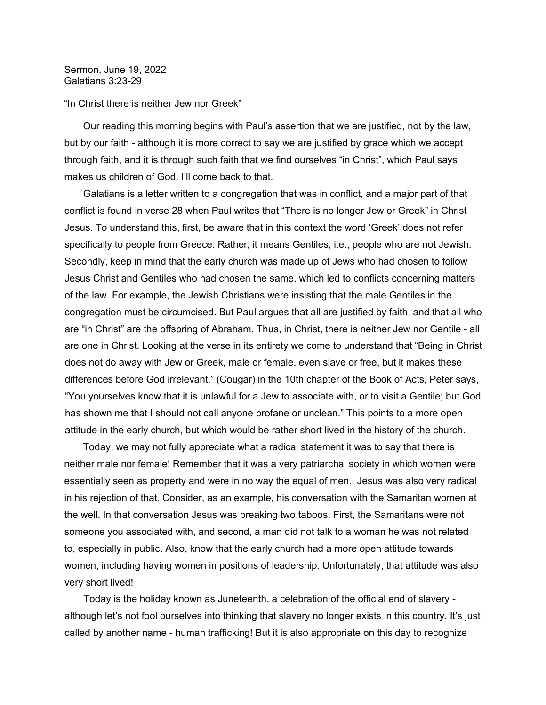Sermon, June 19, 2022 Galatians 3:23-29

## "In Christ there is neither Jew nor Greek"

 Our reading this morning begins with Paul's assertion that we are justified, not by the law, but by our faith - although it is more correct to say we are justified by grace which we accept through faith, and it is through such faith that we find ourselves "in Christ", which Paul says makes us children of God. I'll come back to that.

 Galatians is a letter written to a congregation that was in conflict, and a major part of that conflict is found in verse 28 when Paul writes that "There is no longer Jew or Greek" in Christ Jesus. To understand this, first, be aware that in this context the word 'Greek' does not refer specifically to people from Greece. Rather, it means Gentiles, i.e., people who are not Jewish. Secondly, keep in mind that the early church was made up of Jews who had chosen to follow Jesus Christ and Gentiles who had chosen the same, which led to conflicts concerning matters of the law. For example, the Jewish Christians were insisting that the male Gentiles in the congregation must be circumcised. But Paul argues that all are justified by faith, and that all who are "in Christ" are the offspring of Abraham. Thus, in Christ, there is neither Jew nor Gentile - all are one in Christ. Looking at the verse in its entirety we come to understand that "Being in Christ does not do away with Jew or Greek, male or female, even slave or free, but it makes these differences before God irrelevant." (Cougar) in the 10th chapter of the Book of Acts, Peter says, "You yourselves know that it is unlawful for a Jew to associate with, or to visit a Gentile; but God has shown me that I should not call anyone profane or unclean." This points to a more open attitude in the early church, but which would be rather short lived in the history of the church.

 Today, we may not fully appreciate what a radical statement it was to say that there is neither male nor female! Remember that it was a very patriarchal society in which women were essentially seen as property and were in no way the equal of men. Jesus was also very radical in his rejection of that. Consider, as an example, his conversation with the Samaritan women at the well. In that conversation Jesus was breaking two taboos. First, the Samaritans were not someone you associated with, and second, a man did not talk to a woman he was not related to, especially in public. Also, know that the early church had a more open attitude towards women, including having women in positions of leadership. Unfortunately, that attitude was also very short lived!

 Today is the holiday known as Juneteenth, a celebration of the official end of slavery although let's not fool ourselves into thinking that slavery no longer exists in this country. It's just called by another name - human trafficking! But it is also appropriate on this day to recognize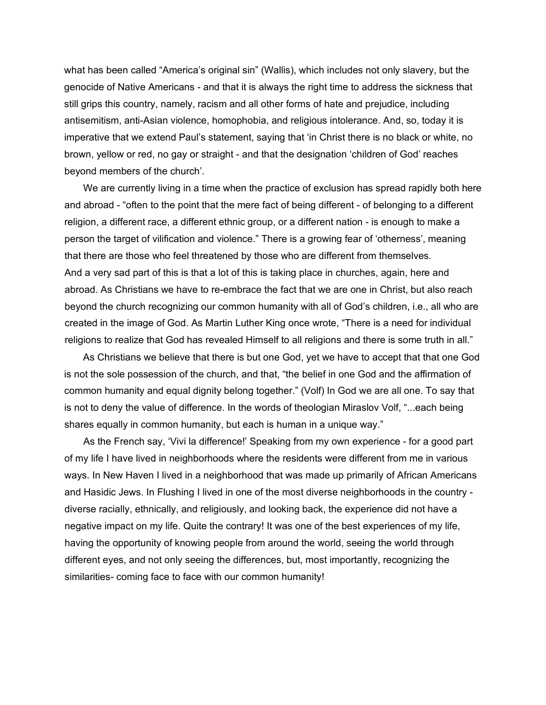what has been called "America's original sin" (Wallis), which includes not only slavery, but the genocide of Native Americans - and that it is always the right time to address the sickness that still grips this country, namely, racism and all other forms of hate and prejudice, including antisemitism, anti-Asian violence, homophobia, and religious intolerance. And, so, today it is imperative that we extend Paul's statement, saying that 'in Christ there is no black or white, no brown, yellow or red, no gay or straight - and that the designation 'children of God' reaches beyond members of the church'.

 We are currently living in a time when the practice of exclusion has spread rapidly both here and abroad - "often to the point that the mere fact of being different - of belonging to a different religion, a different race, a different ethnic group, or a different nation - is enough to make a person the target of vilification and violence." There is a growing fear of 'otherness', meaning that there are those who feel threatened by those who are different from themselves. And a very sad part of this is that a lot of this is taking place in churches, again, here and abroad. As Christians we have to re-embrace the fact that we are one in Christ, but also reach beyond the church recognizing our common humanity with all of God's children, i.e., all who are created in the image of God. As Martin Luther King once wrote, "There is a need for individual religions to realize that God has revealed Himself to all religions and there is some truth in all."

 As Christians we believe that there is but one God, yet we have to accept that that one God is not the sole possession of the church, and that, "the belief in one God and the affirmation of common humanity and equal dignity belong together." (Volf) In God we are all one. To say that is not to deny the value of difference. In the words of theologian Miraslov Volf, "...each being shares equally in common humanity, but each is human in a unique way."

 As the French say, 'Vivi la difference!' Speaking from my own experience - for a good part of my life I have lived in neighborhoods where the residents were different from me in various ways. In New Haven I lived in a neighborhood that was made up primarily of African Americans and Hasidic Jews. In Flushing I lived in one of the most diverse neighborhoods in the country diverse racially, ethnically, and religiously, and looking back, the experience did not have a negative impact on my life. Quite the contrary! It was one of the best experiences of my life, having the opportunity of knowing people from around the world, seeing the world through different eyes, and not only seeing the differences, but, most importantly, recognizing the similarities- coming face to face with our common humanity!